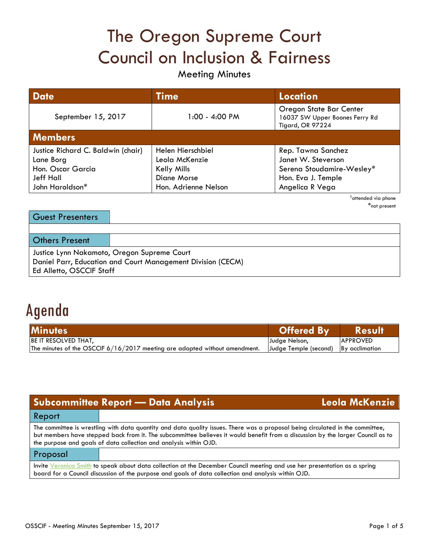# The Oregon Supreme Court Council on Inclusion & Fairness

## Meeting Minutes

| <b>Date</b>                        | <b>Time</b>          | <b>Location</b>                                                               |  |
|------------------------------------|----------------------|-------------------------------------------------------------------------------|--|
| September 15, 2017                 | 1:00 - 4:00 PM       | Oregon State Bar Center<br>16037 SW Upper Boones Ferry Rd<br>Tigard, OR 97224 |  |
| <b>Members</b>                     |                      |                                                                               |  |
| Justice Richard C. Baldwin (chair) | Helen Hierschbiel    | Rep. Tawna Sanchez                                                            |  |
| Lane Borg                          | Leola McKenzie       | Janet W. Steverson                                                            |  |
| Hon. Oscar Garcia                  | Kelly Mills          | Serena Stoudamire-Wesley*                                                     |  |
| <b>Jeff Hall</b>                   | Diane Morse          | Hon. Eva J. Temple                                                            |  |
| John Haroldson*                    | Hon. Adrienne Nelson | Angelica R Vega                                                               |  |

†attended via phone \*not present

| Guest Presenters                                            |  |  |
|-------------------------------------------------------------|--|--|
|                                                             |  |  |
| <b>Others Present</b>                                       |  |  |
| Justice Lynn Nakamoto, Oregon Supreme Court                 |  |  |
| Daniel Parr, Education and Court Management Division (CECM) |  |  |
| Ed Alletto, OSCCIF Staff                                    |  |  |

# Agenda

| <b>Minutes</b>                                                               | Offered By                            | <b>Result</b>   |
|------------------------------------------------------------------------------|---------------------------------------|-----------------|
| <b>BE IT RESOLVED THAT,</b>                                                  | Judge Nelson,                         | <b>APPROVED</b> |
| The minutes of the OSCCIF $6/16/2017$ meeting are adopted without amendment. | Uudge Temple (second) IBy acclimation |                 |

| <b>Subcommittee Report - Data Analysis</b>                                                                                                                                                                                                                                                                                             |  | Leola McKenzie |
|----------------------------------------------------------------------------------------------------------------------------------------------------------------------------------------------------------------------------------------------------------------------------------------------------------------------------------------|--|----------------|
| Report                                                                                                                                                                                                                                                                                                                                 |  |                |
| The committee is wrestling with data quantity and data quality issues. There was a proposal being circulated in the committee,<br>but members have stepped back from it. The subcommittee believes it would benefit from a discussion by the larger Council as to<br>the purpose and goals of data collection and analysis within OJD. |  |                |
| Proposal                                                                                                                                                                                                                                                                                                                               |  |                |
| Invite Veronica Smith to speak about data collection at the December Council meeting and use her presentation as a spring<br>board for a Council discussion of the purpose and goals of data collection and analysis within OJD.                                                                                                       |  |                |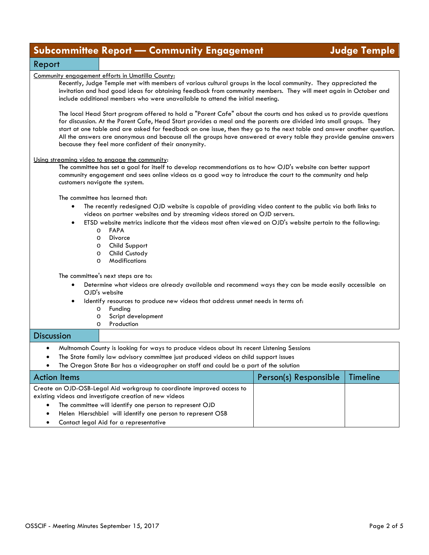|                                                                                            | <b>Subcommittee Report - Community Engagement</b>                                                                                                                                                                                                                                                                                                                                                                                                                                                                                                  |                       | <b>Judge Temple</b> |
|--------------------------------------------------------------------------------------------|----------------------------------------------------------------------------------------------------------------------------------------------------------------------------------------------------------------------------------------------------------------------------------------------------------------------------------------------------------------------------------------------------------------------------------------------------------------------------------------------------------------------------------------------------|-----------------------|---------------------|
| Report                                                                                     |                                                                                                                                                                                                                                                                                                                                                                                                                                                                                                                                                    |                       |                     |
| Community engagement efforts in Umatilla County:                                           | Recently, Judge Temple met with members of various cultural groups in the local community. They appreciated the<br>invitation and had good ideas for obtaining feedback from community members. They will meet again in October and<br>include additional members who were unavailable to attend the initial meeting.                                                                                                                                                                                                                              |                       |                     |
|                                                                                            | The local Head Start program offered to hold a "Parent Cafe" about the courts and has asked us to provide questions<br>for discussion. At the Parent Cafe, Head Start provides a meal and the parents are divided into small groups. They<br>start at one table and are asked for feedback on one issue, then they go to the next table and answer another question.<br>All the answers are anonymous and because all the groups have answered at every table they provide genuine answers<br>because they feel more confident of their anonymity. |                       |                     |
| Using streaming video to engage the community:<br>customers navigate the system.           | The committee has set a goal for itself to develop recommendations as to how OJD's website can better support<br>community engagement and sees online videos as a good way to introduce the court to the community and help                                                                                                                                                                                                                                                                                                                        |                       |                     |
| The committee has learned that:                                                            |                                                                                                                                                                                                                                                                                                                                                                                                                                                                                                                                                    |                       |                     |
|                                                                                            | The recently redesigned OJD website is capable of providing video content to the public via both links to<br>videos on partner websites and by streaming videos stored on OJD servers.                                                                                                                                                                                                                                                                                                                                                             |                       |                     |
| $\bullet$<br><b>FAPA</b><br>$\circ$<br>Divorce<br>$\circ$<br>$\circ$<br>$\circ$<br>$\circ$ | ETSD website metrics indicate that the videos most often viewed on OJD's website pertain to the following:<br>Child Support<br>Child Custody<br>Modifications                                                                                                                                                                                                                                                                                                                                                                                      |                       |                     |
| The committee's next steps are to:                                                         |                                                                                                                                                                                                                                                                                                                                                                                                                                                                                                                                                    |                       |                     |
| OJD's website                                                                              | Determine what videos are already available and recommend ways they can be made easily accessible on                                                                                                                                                                                                                                                                                                                                                                                                                                               |                       |                     |
| $\bullet$<br>Funding<br>O<br>O<br>O                                                        | Identify resources to produce new videos that address unmet needs in terms of:<br>Script development<br>Production                                                                                                                                                                                                                                                                                                                                                                                                                                 |                       |                     |
| <b>Discussion</b>                                                                          |                                                                                                                                                                                                                                                                                                                                                                                                                                                                                                                                                    |                       |                     |
|                                                                                            | Multnomah County is looking for ways to produce videos about its recent Listening Sessions<br>The State family law advisory committee just produced videos on child support issues<br>The Oregon State Bar has a videographer on staff and could be a part of the solution                                                                                                                                                                                                                                                                         |                       |                     |
| <b>Action Items</b>                                                                        |                                                                                                                                                                                                                                                                                                                                                                                                                                                                                                                                                    | Person(s) Responsible | <b>Timeline</b>     |
| existing videos and investigate creation of new videos                                     | Create an OJD-OSB-Legal Aid workgroup to coordinate improved access to<br>The committee will identify one person to represent OJD<br>Helen Hierschbiel will identify one person to represent OSB                                                                                                                                                                                                                                                                                                                                                   |                       |                     |

• Contact legal Aid for a representative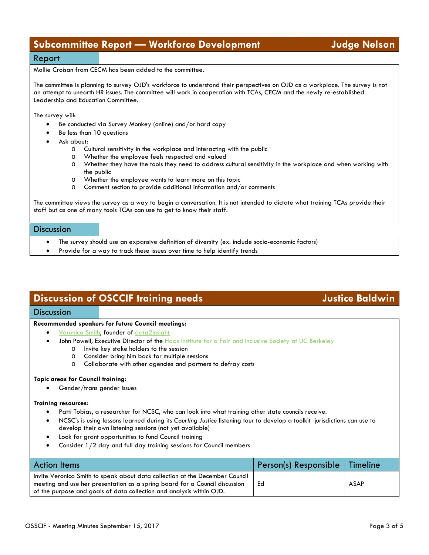## **Subcommittee Report — Workforce Development Judge Nelson**

### Report

Mollie Croisan from CECM has been added to the committee.

The committee is planning to survey OJD's workforce to understand their perspectives on OJD as a workplace. The survey is not an attempt to unearth HR issues. The committee will work in cooperation with TCAs, CECM and the newly re-established Leadership and Education Committee.

The survey will:

- Be conducted via Survey Monkey (online) and/or hard copy
- Be less than 10 questions
- Ask about:
	- o Cultural sensitivity in the workplace and interacting with the public
	- o Whether the employee feels respected and valued<br>
	o Whether they have the tools they need to address o
	- Whether they have the tools they need to address cultural sensitivity in the workplace and when working with the public
	- o Whether the employee wants to learn more on this topic
	- o Comment section to provide additional information and/or comments

The committee views the survey as a way to begin a conversation. It is not intended to dictate what training TCAs provide their staff but as one of many tools TCAs can use to get to know their staff.

| <b>Discussion</b> |                                                                                                 |
|-------------------|-------------------------------------------------------------------------------------------------|
|                   | The survey should use an expansive definition of diversity (ex. include socio-economic factors) |

• Provide for a way to track these issues over time to help identify trends

## **Discussion of OSCCIF training needs Justice Baldwin**

#### **Discussion**

#### **Recommended speakers for future Council meetings:**

- [Veronica Smith,](https://data2insight.com/about/team/veronica/) founder of [data2insight](https://data2insight.com/)
	- John Powell, Executive Director of the [Haas Institute for a Fair and Inclusive Society at UC Berkeley](http://vcresearch.berkeley.edu/research-unit/haas-institute-fair-and-inclusive-society)
		- o Invite key stake holders to the session
		-
		- o Consider bring him back for multiple sessions Collaborate with other agencies and partners to defray costs

#### **Topic areas for Council training:**

• Gender/trans gender issues

#### **Training resources:**

- Patti Tobias, a researcher for NCSC, who can look into what training other state councils receive.
- NCSC's is using lessons learned during its *Courting Justice* listening tour to develop a toolkit jurisdictions can use to develop their own listening sessions (not yet available)
- Look for grant opportunities to fund Council training
- Consider 1/2 day and full day training sessions for Council members

| <b>Action Items</b>                                                                                                                                         | Person(s) Responsible   Timeline |             |
|-------------------------------------------------------------------------------------------------------------------------------------------------------------|----------------------------------|-------------|
| Invite Veronica Smith to speak about data collection at the December Council<br>meeting and use her presentation as a spring board for a Council discussion | Ed                               | <b>ASAP</b> |
| of the purpose and goals of data collection and analysis within OJD.                                                                                        |                                  |             |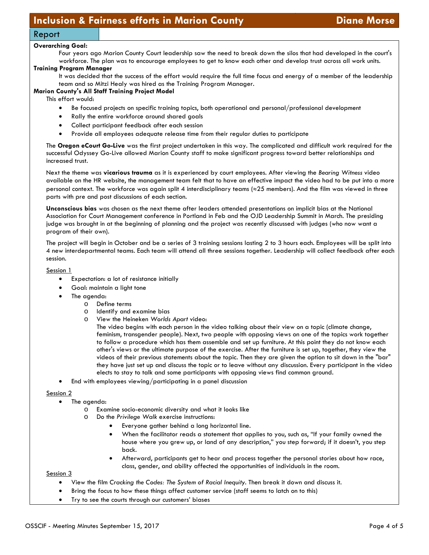### Report

#### **Overarching Goal:**

Four years ago Marion County Court leadership saw the need to break down the silos that had developed in the court's workforce. The plan was to encourage employees to get to know each other and develop trust across all work units.

#### **Training Program Manager**

It was decided that the success of the effort would require the full time focus and energy of a member of the leadership team and so Mitzi Healy was hired as the Training Program Manager.

#### **Marion County's All Staff Training Project Model**

This effort would:

- Be focused projects on specific training topics, both operational and personal/professional development
- Rally the entire workforce around shared goals
- Collect participant feedback after each session
- Provide all employees adequate release time from their regular duties to participate

The **Oregon eCourt Go-Live** was the first project undertaken in this way. The complicated and difficult work required for the successful Odyssey Go-Live allowed Marion County staff to make significant progress toward better relationships and increased trust.

Next the theme was **vicarious trauma** as it is experienced by court employees. After viewing the *Bearing Witness* video available on the HR website, the management team felt that to have an effective impact the video had to be put into a more personal context. The workforce was again split 4 interdisciplinary teams (≈25 members). And the film was viewed in three parts with pre and post discussions of each section.

**Unconscious bias** was chosen as the next theme after leaders attended presentations on implicit bias at the National Association for Court Management conference in Portland in Feb and the OJD Leadership Summit in March. The presiding judge was brought in at the beginning of planning and the project was recently discussed with judges (who now want a program of their own).

The project will begin in October and be a series of 3 training sessions lasting 2 to 3 hours each. Employees will be split into 4 new interdepartmental teams. Each team will attend all three sessions together. Leadership will collect feedback after each session.

#### Session 1

- Expectation: a lot of resistance initially
- Goal: maintain a light tone
- The agenda:
	- o Define terms
	- o Identify and examine bias<br>O View the Heineken Worlds
	- View the Heineken *Worlds Apart* video:

The video begins with each person in the video talking about their view on a topic (climate change, feminism, transgender people). Next, two people with opposing views on one of the topics work together to follow a procedure which has them assemble and set up furniture. At this point they do not know each other's views or the ultimate purpose of the exercise. After the furniture is set up, together, they view the videos of their previous statements about the topic. Then they are given the option to sit down in the "bar" they have just set up and discuss the topic or to leave without any discussion. Every participant in the video elects to stay to talk and some participants with opposing views find common ground.

• End with employees viewing/participating in a panel discussion

#### Session 2

- The agenda:
	- o Examine socio-economic diversity and what it looks like
	- o Do the *Privilege Walk* exercise instructions:
		- Everyone gather behind a long horizontal line.
		- When the facilitator reads a statement that applies to you, such as, "If your family owned the house where you grew up, or land of any description," you step forward; if it doesn't, you step back.
		- Afterward, participants get to hear and process together the personal stories about how race, class, gender, and ability affected the opportunities of individuals in the room.

Session 3

- View the film *Cracking the Codes: The System of Racial Inequity*. Then break it down and discuss it.
- Bring the focus to how these things affect customer service (staff seems to latch on to this)
- Try to see the courts through our customers' biases